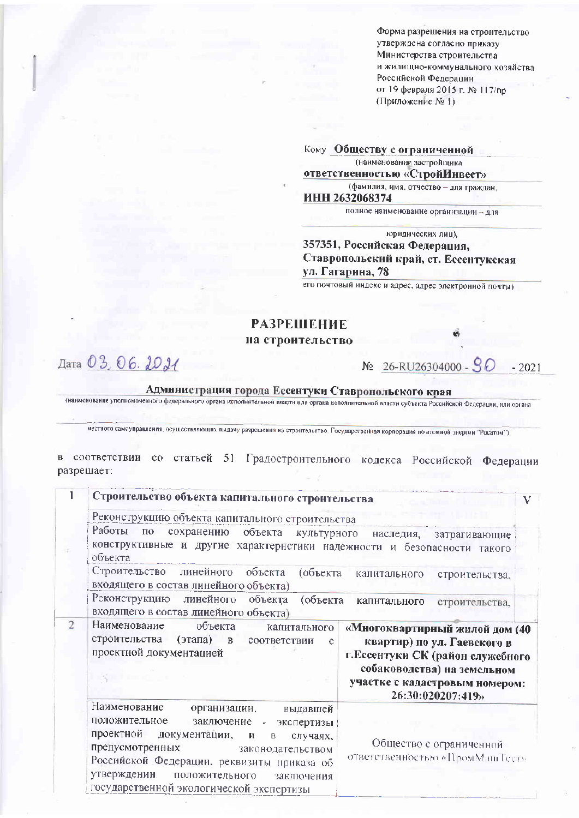Форма разрешения на строительство утверждена согласно приказу Министерства строительства и жилищно-коммунального хозяйства Российской Федерации от 19 февраля 2015 г. № 117/пр (Приложение № 1)

Кому Обществу с ограниченной

(наименование застройщика

ответственностью «СтройИнвест»

(фамилия, имя, отчество - для граждан, ИНН 2632068374

полное наименование организации - для

юридических лиц),

## 357351, Российская Федерация, Ставропольский край, ст. Ессентукская ул. Гагарина, 78

его почтовый индекс и адрес, адрес электронной почты)

## **РАЗРЕШЕНИЕ**

на строительство

Дата 03, 06. 2021

№ 26-RU26304000 - 90  $-2021$ 

## Администрация города Ессентуки Ставропольского края

(наименование уполномоченного федерального органа исполнительной власти или органа исполнительной власти субъекта Российской Федерации, или органа

местного самоуправления, осуществляющих выдачу разрешения на строительство. Государственная корпорация по атомной энергии "Росатом")

в соответствии со статьей 51 Градостроительного кодекса Российской Федерации разрешает:

|                | Строительство объекта капитального строительства                                                                                                                                                                                                                                                                                                                                                           | V |  |  |  |  |
|----------------|------------------------------------------------------------------------------------------------------------------------------------------------------------------------------------------------------------------------------------------------------------------------------------------------------------------------------------------------------------------------------------------------------------|---|--|--|--|--|
|                | Реконструкцию объекта капитального строительства                                                                                                                                                                                                                                                                                                                                                           |   |  |  |  |  |
|                | Работы по<br>сохранению объекта культурного наследия, затрагивающие<br>конструктивные и другие характеристики надежности и безопасности такого<br>объекта                                                                                                                                                                                                                                                  |   |  |  |  |  |
|                | Строительство линейного объекта<br>(объекта<br>калитального<br>строительства.<br>входящего в состав линейного объекта)                                                                                                                                                                                                                                                                                     |   |  |  |  |  |
|                | Реконструкцию линейного<br>объекта<br>(объекта<br>капитального<br>строительства,<br>входящего в состав линейного объекта)                                                                                                                                                                                                                                                                                  |   |  |  |  |  |
| $\overline{2}$ | Наименование<br>объекта<br>капитального<br>«Многоквартирный жилой дом (40<br>строительства<br>(этапа) в соответствии<br>квартир) по ул. Гаевского в<br>c<br>проектной документацией<br>г. Ессентуки СК (район служебного<br>собаководства) на земельном<br>участке с кадастровым номером:<br>26:30:020207:419»                                                                                             |   |  |  |  |  |
|                | Наименование<br>организации,<br>выдавшей<br>положительное<br>заключение - экспертизы<br>проектной<br>документации,<br>$\mathbf R$<br>$\mathsf B$<br>случаях.<br>Общество с ограниченной<br>предусмотренных<br>законодательством<br>ответственностью «ПромМашТест»<br>Российской Федерации, реквизиты приказа об<br>утверждении<br>положительного<br>заключения<br>государственной экологической экспертизы |   |  |  |  |  |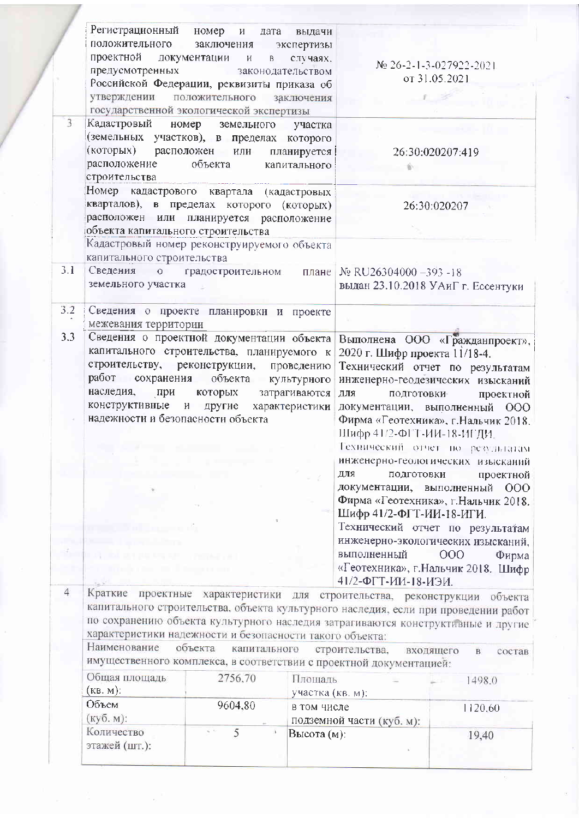|                       | Регистрационный<br>положительного<br>проектной<br>предусмотренных<br>утверждении положительного                                                                                                                                                                             | номер<br>$\boldsymbol{\mathrm{M}}$<br>дата<br>заключения<br>документации и<br>B<br>Российской Федерации, реквизиты приказа об<br>государственной экологической экспертизы | выдачи<br>экспертизы<br>случаях.<br>законодательством<br>заключения |                                                                                                                                                                        | Mo 26-2-1-3-027922-2021<br>от 31.05.2021                                                                                                                                                                                                                                                                                                                                                                                                                                                      |
|-----------------------|-----------------------------------------------------------------------------------------------------------------------------------------------------------------------------------------------------------------------------------------------------------------------------|---------------------------------------------------------------------------------------------------------------------------------------------------------------------------|---------------------------------------------------------------------|------------------------------------------------------------------------------------------------------------------------------------------------------------------------|-----------------------------------------------------------------------------------------------------------------------------------------------------------------------------------------------------------------------------------------------------------------------------------------------------------------------------------------------------------------------------------------------------------------------------------------------------------------------------------------------|
| 3                     | Кадастровый номер<br>(земельных участков), в пределах которого<br>(которых) расположен или<br>расположение<br>строительства                                                                                                                                                 | земельного<br>объекта                                                                                                                                                     | участка<br>планируется  <br>капитального                            |                                                                                                                                                                        | 26:30:020207:419                                                                                                                                                                                                                                                                                                                                                                                                                                                                              |
|                       | Номер кадастрового квартала (кадастровых<br>кварталов), в пределах которого (которых)<br>расположен или планируется расположение<br>объекта капитального строительства<br>Кадастровый номер реконструируемого объекта                                                       |                                                                                                                                                                           |                                                                     |                                                                                                                                                                        | 26:30:020207                                                                                                                                                                                                                                                                                                                                                                                                                                                                                  |
| 3.1                   | капитального строительства<br>Сведения о градостроительном<br>земельного участка                                                                                                                                                                                            |                                                                                                                                                                           | плане                                                               | No RU26304000-393-18                                                                                                                                                   | выдан 23.10.2018 УАиГ г. Ессентуки                                                                                                                                                                                                                                                                                                                                                                                                                                                            |
| 3.2                   | Сведения о проекте планировки и проекте<br>межевания территории                                                                                                                                                                                                             |                                                                                                                                                                           |                                                                     |                                                                                                                                                                        |                                                                                                                                                                                                                                                                                                                                                                                                                                                                                               |
| 3.3<br>$\overline{4}$ | Сведения о проектной документации объекта<br>капитального строительства, планируемого к<br>строительству, реконструкции, проведению<br>работ сохранения объекта культурного<br>наследия, при<br>конструктивные и другие характеристики<br>надежности и безопасности объекта | которых                                                                                                                                                                   | затрагиваются                                                       | 2020 г. Шифр проекта 11/18-4.<br>ДЛЯ<br>ПОДГОТОВКИ<br>Шифр 41/2-ФГТ-ИИ-18-ИГДИ.<br>ДЛЯ<br>ПОДГОТОВКИ<br>Шифр 41/2-ФГТ-ИИ-18-ИГИ.<br>выполненный<br>41/2-ФГТ-ИИ-18-ИЭИ. | Выполнена ООО «Гражданпроект»,<br>Технический отчет по результатам<br>инженерно-геодезических изысканий<br>проектной<br>документации, выполненный ООО<br>Фирма «Геотехника», г. Нальчик 2018.<br>Технический отчет по результатам<br>инженерно-геологических изысканий<br>проектной<br>документации, выполненный ООО<br>Фирма «Геотехника», г. Нальчик 2018.<br>Технический отчет по результатам<br>инженерно-экологических изысканий,<br>000<br>Фирма<br>«Геотехника», г. Нальчик 2018. Шифр |
|                       | Краткие<br>характеристики надежности и безопасности такого объекта:<br>Наименование<br>имущественного комплекса, в соответствии с проектной документацией:<br>Общая площадь<br>(KB. M):<br>Объем<br>(куб. м):<br>Количество<br>этажей (шт.):                                | объекта<br>капитального<br>2756,70<br>9604.80<br>5                                                                                                                        | Площадь<br>участка (кв. м):<br>в том числе<br>Высота (м):           | строительства,<br>подземной части (куб. м):                                                                                                                            | проектные характеристики для строительства, реконструкции объекта<br>капитального строительства, объекта культурного наследия, если при проведении работ<br>по сохранению объекта культурного наследия затрагиваются конструктивные и другие<br>входящего<br>B<br>состав<br>1498.0<br>1120,60<br>19,40                                                                                                                                                                                        |

 $\bar{z}$ 

 $_{\rm R}$